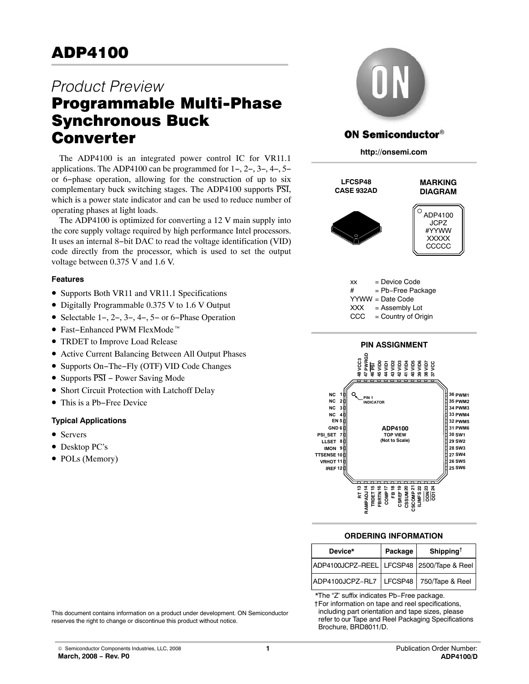# **ADP4100**  $\overline{\phantom{a}}$

# *Product Preview* Programmable Multi-Phase Converter

The ADP4100 is an integrated power control IC for VR11.1 applications. The ADP4100 can be programmed for 1−, 2−, 3−, 4−, 5− or 6−phase operation, allowing for the construction of up to six complementary buck switching stages. The ADP4100 supports PSI, which is a power state indicator and can be used to reduce number of operating phases at light loads.

The ADP4100 is optimized for converting a 12 V main supply into the core supply voltage required by high performance Intel processors. It uses an internal 8−bit DAC to read the voltage identification (VID) code directly from the processor, which is used to set the output voltage between 0.375 V and 1.6 V.

### **Features**

- Supports Both VR11 and VR11.1 Specifications
- Digitally Programmable 0.375 V to 1.6 V Output
- Selectable 1−, 2−, 3−, 4−, 5− or 6−Phase Operation • Selectable 1–, 2–, 3–, 4–, 5– or 6–<br>• Fast–Enhanced PWM FlexMode<sup>-11</sup>
- 
- TRDET to Improve Load Release
- Active Current Balancing Between All Output Phases
- Supports On−The−Fly (OTF) VID Code Changes
- Supports PSI − Power Saving Mode
- Short Circuit Protection with Latchoff Delay
- This is a Pb−Free Device

# **Typical Applications**

- Servers
- Desktop PC's
- POLs (Memory)



# **ON Semiconductor®**

**http://onsemi.com**



 $xx = Device Code$ # = Pb−Free Package YYWW = Date Code XXX = Assembly Lot CCC = Country of Origin



# **ORDERING INFORMATION**

|                                                                                                                                                                                                                                     | RT13<br>TRIPADJ14<br>TRIPT15<br>TRIPT15<br>TRIPS COMPT15<br>COMP21<br>COMP21<br>COMP21<br>COMP22<br>COMP21<br>COMP21<br>COMP21<br>COMP21 |                       |  |  |  |
|-------------------------------------------------------------------------------------------------------------------------------------------------------------------------------------------------------------------------------------|------------------------------------------------------------------------------------------------------------------------------------------|-----------------------|--|--|--|
| <b>ORDERING INFORMATION</b>                                                                                                                                                                                                         |                                                                                                                                          |                       |  |  |  |
| Device*                                                                                                                                                                                                                             | Package                                                                                                                                  | Shipping <sup>†</sup> |  |  |  |
| ADP4100JCPZ-REEL                                                                                                                                                                                                                    | LFCSP48                                                                                                                                  | 2500/Tape & Reel      |  |  |  |
| ADP4100JCPZ-RL7                                                                                                                                                                                                                     | LFCSP48                                                                                                                                  | 750/Tape & Reel       |  |  |  |
| *The "Z' suffix indicates Pb-Free package.<br>†For information on tape and reel specifications,<br>including part orientation and tape sizes, please<br>refer to our Tape and Reel Packaging Specifications<br>Brochure, BRD8011/D. |                                                                                                                                          |                       |  |  |  |

†For information on tape and reel specifications, including part orientation and tape sizes, please refer to our Tape and Reel Packaging Specifications<br>Brochure, BRD8011/D.

This document contains information on a product under development. ON Semiconductor reserves the right to change or discontinue this product without notice.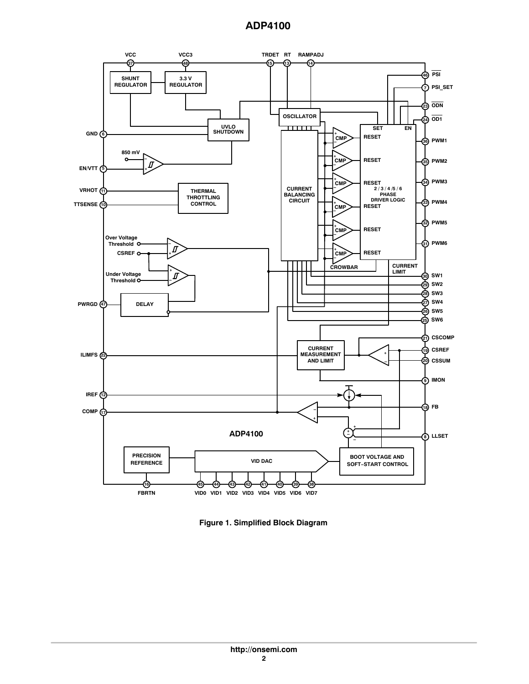

**Figure 1. Simplified Block Diagram**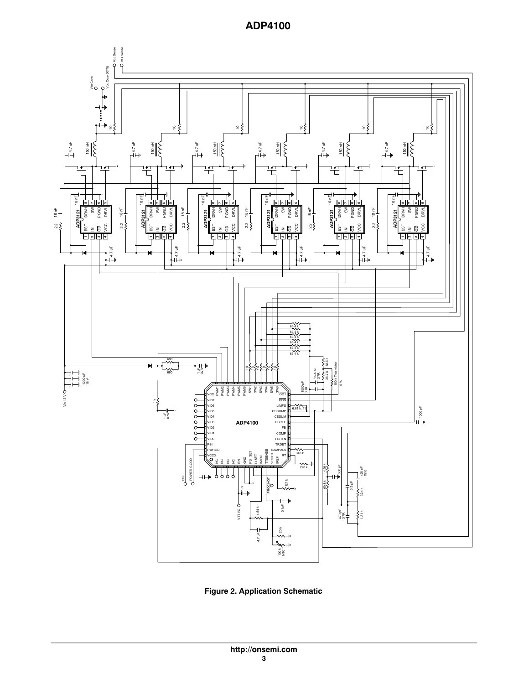<span id="page-2-0"></span>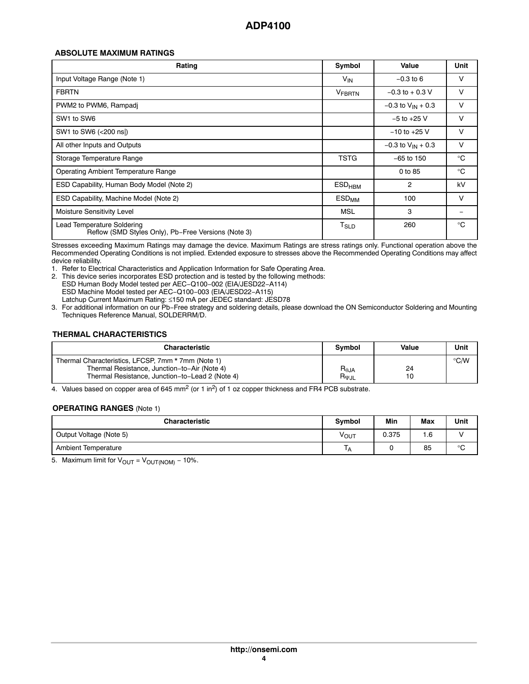### **ABSOLUTE MAXIMUM RATINGS**

| Rating                                                                            | Symbol                      | Value                    | Unit        |
|-----------------------------------------------------------------------------------|-----------------------------|--------------------------|-------------|
| Input Voltage Range (Note 1)                                                      | V <sub>IN</sub>             | $-0.3$ to 6              | V           |
| <b>FBRTN</b>                                                                      | <b>VFBRTN</b>               | $-0.3$ to $+0.3$ V       | V           |
| PWM2 to PWM6, Rampadj                                                             |                             | $-0.3$ to $V_{IN}$ + 0.3 | V           |
| SW1 to SW6                                                                        |                             | $-5$ to $+25$ V          | $\vee$      |
| SW1 to SW6 (<200 ns))                                                             |                             | $-10$ to $+25$ V         | V           |
| All other Inputs and Outputs                                                      |                             | $-0.3$ to $V_{IN}$ + 0.3 | V           |
| Storage Temperature Range                                                         | TSTG                        | $-65$ to 150             | $^{\circ}C$ |
| Operating Ambient Temperature Range                                               |                             | 0 to 85                  | $^{\circ}C$ |
| ESD Capability, Human Body Model (Note 2)                                         | $ESD_{HBM}$                 | $\overline{2}$           | kV          |
| ESD Capability, Machine Model (Note 2)                                            | $ESD_{MM}$                  | 100                      | V           |
| Moisture Sensitivity Level                                                        | MSL                         | 3                        |             |
| Lead Temperature Soldering<br>Reflow (SMD Styles Only), Pb-Free Versions (Note 3) | $\mathsf{T}_{\mathsf{SLD}}$ | 260                      | $^{\circ}C$ |

Stresses exceeding Maximum Ratings may damage the device. Maximum Ratings are stress ratings only. Functional operation above the Recommended Operating Conditions is not implied. Extended exposure to stresses above the Recommended Operating Conditions may affect device reliability.

1. Refer to Electrical Characteristics and Application Information for Safe Operating Area.

2. This device series incorporates ESD protection and is tested by the following methods:

ESD Human Body Model tested per AEC−Q100−002 (EIA/JESD22−A114) ESD Machine Model tested per AEC−Q100−003 (EIA/JESD22−A115) Latchup Current Maximum Rating: ≤150 mA per JEDEC standard: JESD78

3. For additional information on our Pb−Free strategy and soldering details, please download the ON Semiconductor Soldering and Mounting Techniques Reference Manual, SOLDERRM/D.

### **THERMAL CHARACTERISTICS**

| <b>Characteristic</b>                                                                                                                                 | <b>Symbol</b>                          | Value | Unit          |
|-------------------------------------------------------------------------------------------------------------------------------------------------------|----------------------------------------|-------|---------------|
| Thermal Characteristics, LFCSP, 7mm * 7mm (Note 1)<br>Thermal Resistance, Junction-to-Air (Note 4)<br>Thermal Resistance, Junction-to-Lead 2 (Note 4) | $R_{\theta JA}$<br>$R_{\Psi\text{JL}}$ | 24    | $\degree$ C/W |

4. Values based on copper area of 645 mm<sup>2</sup> (or 1 in<sup>2</sup>) of 1 oz copper thickness and FR4 PCB substrate.

#### **OPERATING RANGES** (Note 1)

| <b>Characteristic</b>   | <b>Symbol</b> | Min   | Max | Unit |
|-------------------------|---------------|-------|-----|------|
| Output Voltage (Note 5) | νουτ          | 0.375 | 1.6 |      |
| Ambient Temperature     | ١A            |       | 85  | °C   |

5. Maximum limit for  $V_{\text{OUT}} = V_{\text{OUT/NOM}} - 10\%$ .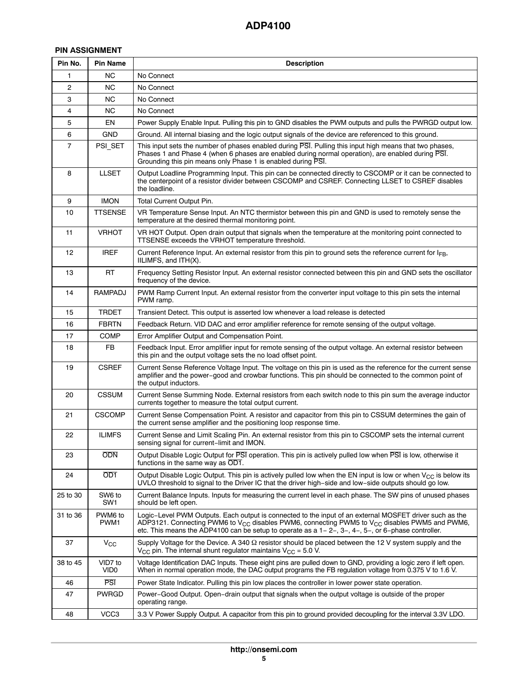# **PIN ASSIGNMENT**

| Pin No.        | <b>Pin Name</b>  | <b>Description</b>                                                                                                                                                                                                                                                                                                                    |
|----------------|------------------|---------------------------------------------------------------------------------------------------------------------------------------------------------------------------------------------------------------------------------------------------------------------------------------------------------------------------------------|
| 1              | NC.              | No Connect                                                                                                                                                                                                                                                                                                                            |
| $\overline{c}$ | <b>NC</b>        | No Connect                                                                                                                                                                                                                                                                                                                            |
| 3              | NС               | No Connect                                                                                                                                                                                                                                                                                                                            |
| 4              | NC.              | No Connect                                                                                                                                                                                                                                                                                                                            |
| 5              | EN               | Power Supply Enable Input. Pulling this pin to GND disables the PWM outputs and pulls the PWRGD output low.                                                                                                                                                                                                                           |
| 6              | <b>GND</b>       | Ground. All internal biasing and the logic output signals of the device are referenced to this ground.                                                                                                                                                                                                                                |
| $\overline{7}$ | PSI_SET          | This input sets the number of phases enabled during PSI. Pulling this input high means that two phases,<br>Phases 1 and Phase 4 (when 6 phases are enabled during normal operation), are enabled during PSI.<br>Grounding this pin means only Phase 1 is enabled during PSI.                                                          |
| 8              | <b>LLSET</b>     | Output Loadline Programming Input. This pin can be connected directly to CSCOMP or it can be connected to<br>the centerpoint of a resistor divider between CSCOMP and CSREF. Connecting LLSET to CSREF disables<br>the loadline.                                                                                                      |
| 9              | <b>IMON</b>      | Total Current Output Pin.                                                                                                                                                                                                                                                                                                             |
| 10             | <b>TTSENSE</b>   | VR Temperature Sense Input. An NTC thermistor between this pin and GND is used to remotely sense the<br>temperature at the desired thermal monitoring point.                                                                                                                                                                          |
| 11             | <b>VRHOT</b>     | VR HOT Output. Open drain output that signals when the temperature at the monitoring point connected to<br>TTSENSE exceeds the VRHOT temperature threshold.                                                                                                                                                                           |
| 12             | <b>IREF</b>      | Current Reference Input. An external resistor from this pin to ground sets the reference current for I <sub>FB</sub> ,<br>IILIMFS, and ITH(X).                                                                                                                                                                                        |
| 13             | RT               | Frequency Setting Resistor Input. An external resistor connected between this pin and GND sets the oscillator<br>frequency of the device.                                                                                                                                                                                             |
| 14             | <b>RAMPADJ</b>   | PWM Ramp Current Input. An external resistor from the converter input voltage to this pin sets the internal<br>PWM ramp.                                                                                                                                                                                                              |
| 15             | <b>TRDET</b>     | Transient Detect. This output is asserted low whenever a load release is detected                                                                                                                                                                                                                                                     |
| 16             | FBRTN            | Feedback Return. VID DAC and error amplifier reference for remote sensing of the output voltage.                                                                                                                                                                                                                                      |
| 17             | <b>COMP</b>      | Error Amplifier Output and Compensation Point.                                                                                                                                                                                                                                                                                        |
| 18             | FB               | Feedback Input. Error amplifier input for remote sensing of the output voltage. An external resistor between<br>this pin and the output voltage sets the no load offset point.                                                                                                                                                        |
| 19             | <b>CSREF</b>     | Current Sense Reference Voltage Input. The voltage on this pin is used as the reference for the current sense<br>amplifier and the power-good and crowbar functions. This pin should be connected to the common point of<br>the output inductors.                                                                                     |
| 20             | <b>CSSUM</b>     | Current Sense Summing Node. External resistors from each switch node to this pin sum the average inductor<br>currents together to measure the total output current.                                                                                                                                                                   |
| 21             | <b>CSCOMP</b>    | Current Sense Compensation Point. A resistor and capacitor from this pin to CSSUM determines the gain of<br>the current sense amplifier and the positioning loop response time.                                                                                                                                                       |
| 22             | <b>ILIMFS</b>    | Current Sense and Limit Scaling Pin. An external resistor from this pin to CSCOMP sets the internal current<br>sensing signal for current-limit and IMON.                                                                                                                                                                             |
| 23             | <b>ODN</b>       | Output Disable Logic Output for PSI operation. This pin is actively pulled low when PSI is low, otherwise it<br>functions in the same way as OD1.                                                                                                                                                                                     |
| 24             | OD <sub>1</sub>  | Output Disable Logic Output. This pin is actively pulled low when the EN input is low or when $V_{CC}$ is below its<br>UVLO threshold to signal to the Driver IC that the driver high-side and low-side outputs should go low.                                                                                                        |
| 25 to 30       | SW6 to<br>SW1    | Current Balance Inputs. Inputs for measuring the current level in each phase. The SW pins of unused phases<br>should be left open.                                                                                                                                                                                                    |
| 31 to 36       | PWM6 to<br>PWM1  | Logic-Level PWM Outputs. Each output is connected to the input of an external MOSFET driver such as the<br>ADP3121. Connecting PWM6 to V <sub>CC</sub> disables PWM6, connecting PWM5 to V <sub>CC</sub> disables PWM5 and PWM6,<br>etc. This means the ADP4100 can be setup to operate as a 1-2-, 3-, 4-, 5-, or 6-phase controller. |
| 37             | $V_{\rm CC}$     | Supply Voltage for the Device. A 340 $\Omega$ resistor should be placed between the 12 V system supply and the<br>$V_{CC}$ pin. The internal shunt regulator maintains $V_{CC}$ = 5.0 V.                                                                                                                                              |
| 38 to 45       | VID7 to<br>VID0  | Voltage Identification DAC Inputs. These eight pins are pulled down to GND, providing a logic zero if left open.<br>When in normal operation mode, the DAC output programs the FB regulation voltage from 0.375 V to 1.6 V.                                                                                                           |
| 46             | <b>PSI</b>       | Power State Indicator. Pulling this pin low places the controller in lower power state operation.                                                                                                                                                                                                                                     |
| 47             | <b>PWRGD</b>     | Power–Good Output. Open–drain output that signals when the output voltage is outside of the proper<br>operating range.                                                                                                                                                                                                                |
| 48             | VCC <sub>3</sub> | 3.3 V Power Supply Output. A capacitor from this pin to ground provided decoupling for the interval 3.3 V LDO.                                                                                                                                                                                                                        |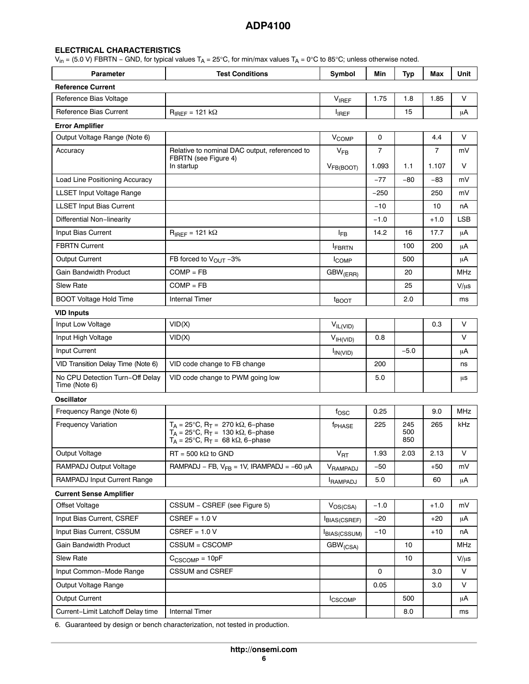### **ELECTRICAL CHARACTERISTICS**

V<sub>in</sub> = (5.0 V) FBRTN – GND, for typical values T<sub>A</sub> = 25°C, for min/max values T<sub>A</sub> = 0°C to 85°C; unless otherwise noted.

| <b>Parameter</b>                                 | <b>Test Conditions</b>                                                                                                                                                    | Symbol                     | Min            | Typ               | Max            | Unit       |
|--------------------------------------------------|---------------------------------------------------------------------------------------------------------------------------------------------------------------------------|----------------------------|----------------|-------------------|----------------|------------|
| <b>Reference Current</b>                         |                                                                                                                                                                           |                            |                |                   |                |            |
| Reference Bias Voltage                           |                                                                                                                                                                           | $V_{IREF}$                 | 1.75           | 1.8               | 1.85           | V          |
| Reference Bias Current                           | $R_{IREF}$ = 121 k $\Omega$                                                                                                                                               | $I_{IREF}$                 |                | 15                |                | μA         |
| <b>Error Amplifier</b>                           |                                                                                                                                                                           |                            |                |                   |                |            |
| Output Voltage Range (Note 6)                    |                                                                                                                                                                           | V <sub>COMP</sub>          | 0              |                   | 4.4            | V          |
| Accuracy                                         | Relative to nominal DAC output, referenced to                                                                                                                             | $V_{FB}$                   | $\overline{7}$ |                   | $\overline{7}$ | mV         |
|                                                  | FBRTN (see Figure 4)<br>In startup                                                                                                                                        | V <sub>FB(BOOT)</sub>      | 1.093          | 1.1               | 1.107          | V          |
| Load Line Positioning Accuracy                   |                                                                                                                                                                           |                            | $-77$          | $-80$             | -83            | mV         |
| LLSET Input Voltage Range                        |                                                                                                                                                                           |                            | -250           |                   | 250            | mV         |
| <b>LLSET Input Bias Current</b>                  |                                                                                                                                                                           |                            | $-10$          |                   | 10             | nA         |
| Differential Non-linearity                       |                                                                                                                                                                           |                            | $-1.0$         |                   | $+1.0$         | LSB        |
| Input Bias Current                               | $R_{IREF}$ = 121 k $\Omega$                                                                                                                                               | $I_{FB}$                   | 14.2           | 16                | 17.7           | $\mu$ A    |
| <b>FBRTN Current</b>                             |                                                                                                                                                                           | <b>IFBRTN</b>              |                | 100               | 200            | μA         |
| Output Current                                   | FB forced to $V_{\text{OUT}} - 3\%$                                                                                                                                       | <b>ICOMP</b>               |                | 500               |                | μA         |
| <b>Gain Bandwidth Product</b>                    | $COMP = FB$                                                                                                                                                               | $GBW$ <sub>(ERR)</sub>     |                | 20                |                | <b>MHz</b> |
| <b>Slew Rate</b>                                 | $COMP = FB$                                                                                                                                                               |                            |                | 25                |                | $V/\mu s$  |
| <b>BOOT Voltage Hold Time</b>                    | <b>Internal Timer</b>                                                                                                                                                     | t <sub>BOOT</sub>          |                | 2.0               |                | ms         |
| <b>VID Inputs</b>                                |                                                                                                                                                                           |                            |                |                   |                |            |
| Input Low Voltage                                | VID(X)                                                                                                                                                                    | $V_{IL(VID)}$              |                |                   | 0.3            | V          |
| Input High Voltage                               | VID(X)                                                                                                                                                                    | $V_{IH(VID)}$              | 0.8            |                   |                | V          |
| Input Current                                    |                                                                                                                                                                           | $I_{IN(VID)}$              |                | $-5.0$            |                | μA         |
| VID Transition Delay Time (Note 6)               | VID code change to FB change                                                                                                                                              |                            | 200            |                   |                | ns         |
| No CPU Detection Turn-Off Delay<br>Time (Note 6) | VID code change to PWM going low                                                                                                                                          |                            | 5.0            |                   |                | μs         |
| Oscillator                                       |                                                                                                                                                                           |                            |                |                   |                |            |
| Frequency Range (Note 6)                         |                                                                                                                                                                           | $f_{\rm OSC}$              | 0.25           |                   | 9.0            | MHz        |
| <b>Frequency Variation</b>                       | $T_A = 25^{\circ}$ C, R <sub>T</sub> = 270 kΩ, 6-phase<br>$T_A = 25^{\circ}$ C, R <sub>T</sub> = 130 kΩ, 6-phase<br>$T_A = 25^{\circ}C$ , $R_T = 68$ k $\Omega$ , 6-phase | f <sub>PHASE</sub>         | 225            | 245<br>500<br>850 | 265            | kHz        |
| Output Voltage                                   | $RT = 500 k\Omega$ to GND                                                                                                                                                 | $\mathsf{V}_{\mathsf{RT}}$ | 1.93           | 2.03              | 2.13           | V          |
| RAMPADJ Output Voltage                           | RAMPADJ – FB, $V_{FB}$ = 1V, IRAMPADJ = -60 µA                                                                                                                            | VRAMPADJ                   | $-50$          |                   | $+50$          | mV         |
| RAMPADJ Input Current Range                      |                                                                                                                                                                           | <b>RAMPADJ</b>             | 5.0            |                   | 60             | μA         |
| <b>Current Sense Amplifier</b>                   |                                                                                                                                                                           |                            |                |                   |                |            |
| <b>Offset Voltage</b>                            | CSSUM - CSREF (see Figure 5)                                                                                                                                              | $V_{OS(CSA)}$              | $-1.0$         |                   | $+1.0$         | mV         |
| Input Bias Current, CSREF                        | $CSREF = 1.0 V$                                                                                                                                                           | BIAS(CSREF)                | -20            |                   | $+20$          | μA         |
| Input Bias Current, CSSUM                        | $CSREF = 1.0 V$                                                                                                                                                           | <b>IBIAS(CSSUM)</b>        | $-10$          |                   | $+10$          | nA         |
| Gain Bandwidth Product                           | CSSUM = CSCOMP                                                                                                                                                            | GBW <sub>(CSA)</sub>       |                | 10                |                | MHz        |
| Slew Rate                                        | $C_{CSCOMP} = 10pF$                                                                                                                                                       |                            |                | 10                |                | $V/\mu s$  |
| Input Common-Mode Range                          | <b>CSSUM and CSREF</b>                                                                                                                                                    |                            | 0              |                   | 3.0            | V          |
| Output Voltage Range                             |                                                                                                                                                                           |                            | 0.05           |                   | 3.0            | V          |
| <b>Output Current</b>                            |                                                                                                                                                                           | <b>ICSCOMP</b>             |                | 500               |                | μA         |
| Current-Limit Latchoff Delay time                | <b>Internal Timer</b>                                                                                                                                                     |                            |                | 8.0               |                | ms         |

[6](#page-7-0). Guaranteed by design or bench characterization, not tested in production.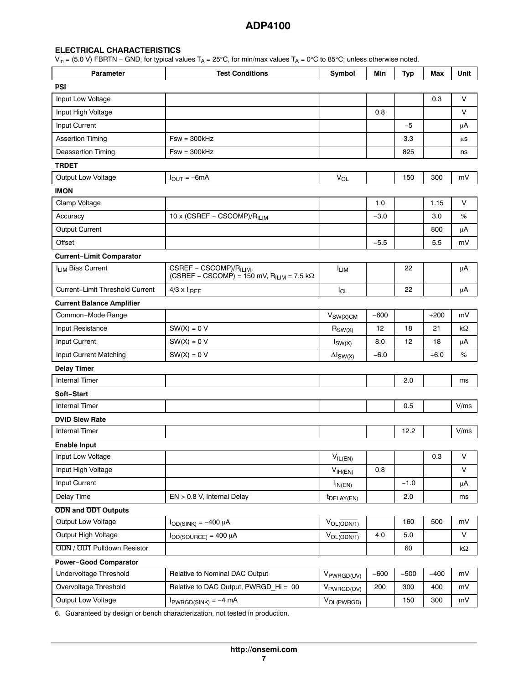### **ELECTRICAL CHARACTERISTICS**

 $\rm V_{in}$  = (5.0 V) FBRTN – GND, for typical values T<sub>A</sub> = 25°C, for min/max values T<sub>A</sub> = 0°C to 85°C; unless otherwise noted.

| <b>Parameter</b>                  | <b>Test Conditions</b>                                                                               | Symbol                  | Min    | <b>Typ</b> | Max    | Unit    |
|-----------------------------------|------------------------------------------------------------------------------------------------------|-------------------------|--------|------------|--------|---------|
| <b>PSI</b>                        |                                                                                                      |                         |        |            |        |         |
| Input Low Voltage                 |                                                                                                      |                         |        |            | 0.3    | V       |
| Input High Voltage                |                                                                                                      |                         | 0.8    |            |        | V       |
| Input Current                     |                                                                                                      |                         |        | $-5$       |        | μA      |
| <b>Assertion Timing</b>           | $Fsw = 300kHz$                                                                                       |                         |        | 3.3        |        | μs      |
| <b>Deassertion Timing</b>         | $Fsw = 300kHz$                                                                                       |                         |        | 825        |        | ns      |
| <b>TRDET</b>                      |                                                                                                      |                         |        |            |        |         |
| <b>Output Low Voltage</b>         | $I_{OUIT} = -6mA$                                                                                    | V <sub>OL</sub>         |        | 150        | 300    | mV      |
| <b>IMON</b>                       |                                                                                                      |                         |        |            |        |         |
| Clamp Voltage                     |                                                                                                      |                         | 1.0    |            | 1.15   | V       |
| Accuracy                          | 10 x (CSREF - CSCOMP)/R <sub>ILIM</sub>                                                              |                         | $-3.0$ |            | 3.0    | %       |
| <b>Output Current</b>             |                                                                                                      |                         |        |            | 800    | μA      |
| Offset                            |                                                                                                      |                         | $-5.5$ |            | 5.5    | mV      |
| <b>Current-Limit Comparator</b>   |                                                                                                      |                         |        |            |        |         |
| I <sub>LIM</sub> Bias Current     | CSREF - CSCOMP)/R <sub>ILIM</sub> ,<br>(CSREF – CSCOMP) = 150 mV, R <sub>ILIM</sub> = 7.5 k $\Omega$ | <b>ILIM</b>             |        | 22         |        | μA      |
| Current-Limit Threshold Current   | $4/3 \times I_{IREF}$                                                                                | $I_{CL}$                |        | 22         |        | $\mu$ A |
| <b>Current Balance Amplifier</b>  |                                                                                                      |                         |        |            |        |         |
| Common-Mode Range                 |                                                                                                      | $V_{SW(X)CM}$           | $-600$ |            | $+200$ | mV      |
| Input Resistance                  | $SW(X) = 0 V$                                                                                        | $R_{SW(X)}$             | 12     | 18         | 21     | kΩ      |
| Input Current                     | $SW(X) = 0 V$                                                                                        | $I_{SW(X)}$             | 8.0    | 12         | 18     | μA      |
| Input Current Matching            | $SW(X) = 0 V$                                                                                        | $\Delta I_{SW(X)}$      | $-6.0$ |            | $+6.0$ | %       |
| <b>Delay Timer</b>                |                                                                                                      |                         |        |            |        |         |
| <b>Internal Timer</b>             |                                                                                                      |                         |        | 2.0        |        | ms      |
| Soft-Start                        |                                                                                                      |                         |        |            |        |         |
| <b>Internal Timer</b>             |                                                                                                      |                         |        | 0.5        |        | V/ms    |
| <b>DVID Slew Rate</b>             |                                                                                                      |                         |        |            |        |         |
| <b>Internal Timer</b>             |                                                                                                      |                         |        | 12.2       |        | V/ms    |
| <b>Enable Input</b>               |                                                                                                      |                         |        |            |        |         |
| Input Low Voltage                 |                                                                                                      | $V_{IL(EN)}$            |        |            | 0.3    | $\vee$  |
| Input High Voltage                |                                                                                                      | V <sub>IH(EN)</sub>     | 0.8    |            |        | V       |
| Input Current                     |                                                                                                      | $I_{IN(EN)}$            |        | $-1.0$     |        | μA      |
| Delay Time                        | EN > 0.8 V, Internal Delay                                                                           | t <sub>DELAY</sub> (EN) |        | 2.0        |        | ms      |
| <b>ODN</b> and <b>OD1</b> Outputs |                                                                                                      |                         |        |            |        |         |
| Output Low Voltage                | $I_{OD(SINK)} = -400 \mu A$                                                                          | $V_{OL(ODN/1)}$         |        | 160        | 500    | mV      |
| Output High Voltage               | $I_{OD(SOURCE)} = 400 \mu A$                                                                         | $V_{OL(ODN/1)}$         | 4.0    | 5.0        |        | $\vee$  |
| ODN / OD1 Pulldown Resistor       |                                                                                                      |                         |        | 60         |        | kΩ      |
| <b>Power-Good Comparator</b>      |                                                                                                      |                         |        |            |        |         |
| Undervoltage Threshold            | Relative to Nominal DAC Output                                                                       | V <sub>PWRGD(UV)</sub>  | $-600$ | $-500$     | $-400$ | mV      |
| Overvoltage Threshold             | Relative to DAC Output, PWRGD Hi = 00                                                                | V <sub>PWRGD(OV)</sub>  | 200    | 300        | 400    | mV      |
| Output Low Voltage                | $I_{PWRGD(SINK)} = -4 mA$                                                                            | VOL(PWRGD)              |        | 150        | 300    | mV      |

[6](#page-7-0). Guaranteed by design or bench characterization, not tested in production.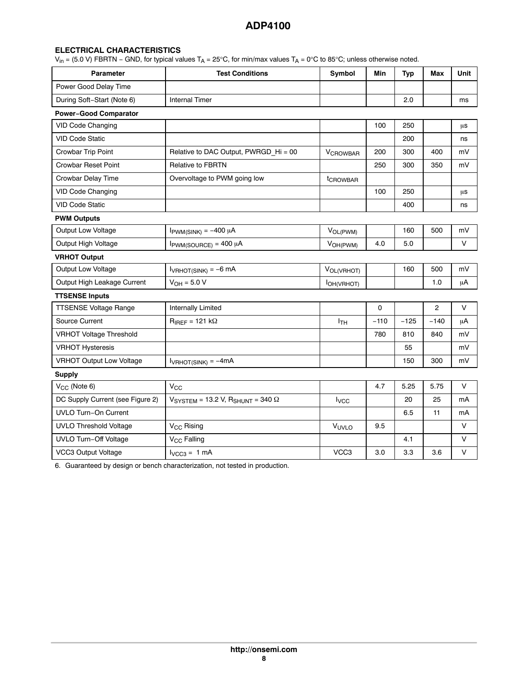# <span id="page-7-0"></span>**ELECTRICAL CHARACTERISTICS**

 $\rm V_{in}$  = (5.0 V) FBRTN – GND, for typical values T<sub>A</sub> = 25°C, for min/max values T<sub>A</sub> = 0°C to 85°C; unless otherwise noted.

| <b>Parameter</b>                 | <b>Test Conditions</b>                  | Symbol                     | Min    | <b>Typ</b> | Max        | Unit   |
|----------------------------------|-----------------------------------------|----------------------------|--------|------------|------------|--------|
| Power Good Delay Time            |                                         |                            |        |            |            |        |
| During Soft-Start (Note 6)       | <b>Internal Timer</b>                   |                            |        | 2.0        |            | ms     |
| <b>Power-Good Comparator</b>     |                                         |                            |        |            |            |        |
| VID Code Changing                |                                         |                            | 100    | 250        |            | μs     |
| <b>VID Code Static</b>           |                                         |                            |        | 200        |            | ns     |
| Crowbar Trip Point               | Relative to DAC Output, PWRGD_Hi = 00   | <b>V<sub>CROWBAR</sub></b> | 200    | 300        | 400        | mV     |
| <b>Crowbar Reset Point</b>       | <b>Relative to FBRTN</b>                |                            | 250    | 300        | 350        | mV     |
| Crowbar Delay Time               | Overvoltage to PWM going low            | tcROWBAR                   |        |            |            |        |
| <b>VID Code Changing</b>         |                                         |                            | 100    | 250        |            | μs     |
| <b>VID Code Static</b>           |                                         |                            |        | 400        |            | ns     |
| <b>PWM Outputs</b>               |                                         |                            |        |            |            |        |
| Output Low Voltage               | $I_{\text{PWM(SINK)}} = -400 \mu A$     | V <sub>OL(PWM)</sub>       |        | 160        | 500        | mV     |
| Output High Voltage              | $I_{\text{PWM}(SOURCE)} = 400 \mu A$    | V <sub>OH(PWM)</sub>       | 4.0    | 5.0        |            | V      |
| <b>VRHOT Output</b>              |                                         |                            |        |            |            |        |
| Output Low Voltage               | $I_{VRHOT(SINK)} = -6 mA$               | VOL(VRHOT)                 |        | 160        | 500        | mV     |
| Output High Leakage Current      | $V_{OH} = 5.0 V$                        | <b>I</b> OH(VRHOT)         |        |            | 1.0        | μA     |
| <b>TTSENSE Inputs</b>            |                                         |                            |        |            |            |        |
| <b>TTSENSE Voltage Range</b>     | Internally Limited                      |                            | 0      |            | $\sqrt{2}$ | V      |
| Source Current                   | $R_{IREF}$ = 121 k $\Omega$             | I <sub>TH</sub>            | $-110$ | $-125$     | $-140$     | μA     |
| <b>VRHOT Voltage Threshold</b>   |                                         |                            | 780    | 810        | 840        | mV     |
| <b>VRHOT Hysteresis</b>          |                                         |                            |        | 55         |            | mV     |
| <b>VRHOT Output Low Voltage</b>  | $I_{VPHOT(SINK)} = -4mA$                |                            |        | 150        | 300        | mV     |
| <b>Supply</b>                    |                                         |                            |        |            |            |        |
| V <sub>CC</sub> (Note 6)         | $\rm V_{CC}$                            |                            | 4.7    | 5.25       | 5.75       | V      |
| DC Supply Current (see Figure 2) | $VSYSTEM = 13.2 V, RSHUNT = 340 \Omega$ | <b>I</b> <sub>VCC</sub>    |        | 20         | 25         | mA     |
| UVLO Turn-On Current             |                                         |                            |        | 6.5        | 11         | mA     |
| <b>UVLO Threshold Voltage</b>    | V <sub>CC</sub> Rising                  | VUVLO                      | 9.5    |            |            | V      |
| <b>UVLO Turn-Off Voltage</b>     | V <sub>CC</sub> Falling                 |                            |        | 4.1        |            | V      |
| VCC3 Output Voltage              | $I_{VCC3} = 1 mA$                       | VCC <sub>3</sub>           | 3.0    | 3.3        | 3.6        | $\vee$ |

6. Guaranteed by design or bench characterization, not tested in production.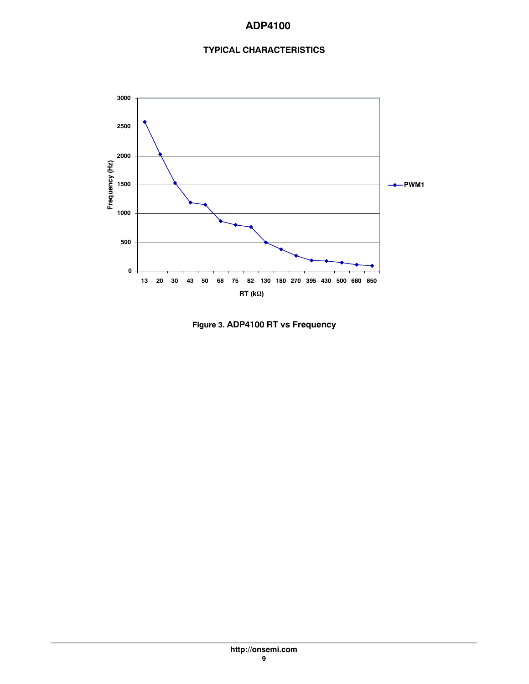# **TYPICAL CHARACTERISTICS**

<span id="page-8-0"></span>

**Figure 3. ADP4100 RT vs Frequency**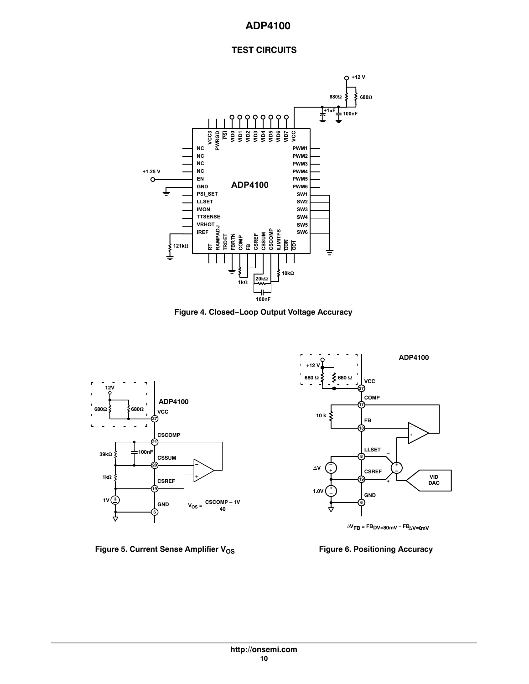# **TEST CIRCUITS**

<span id="page-9-0"></span>









![](_page_9_Figure_7.jpeg)

![](_page_9_Figure_8.jpeg)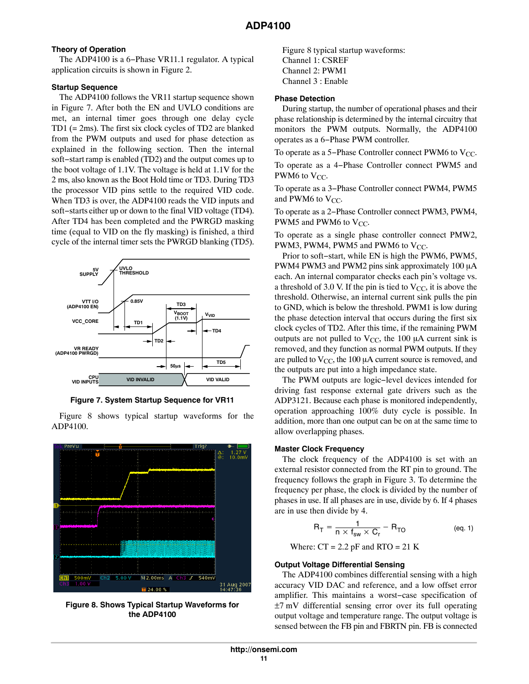### **Theory of Operation**

The ADP4100 is a 6−Phase VR11.1 regulator. A typical application circuits is shown in Figure 2.

### **Startup Sequence**

The ADP4100 follows the VR11 startup sequence shown in Figure 7. After both the EN and UVLO conditions are met, an internal timer goes through one delay cycle TD1 (= 2ms). The first six clock cycles of TD2 are blanked from the PWM outputs and used for phase detection as explained in the following section. Then the internal soft−start ramp is enabled (TD2) and the output comes up to the boot voltage of 1.1V. The voltage is held at 1.1V for the 2 ms, also known as the Boot Hold time or TD3. During TD3 the processor VID pins settle to the required VID code. When TD3 is over, the ADP4100 reads the VID inputs and soft−starts either up or down to the final VID voltage (TD4). After TD4 has been completed and the PWRGD masking time (equal to VID on the fly masking) is finished, a third cycle of the internal timer sets the PWRGD blanking (TD5).

![](_page_10_Figure_5.jpeg)

**Figure 7. System Startup Sequence for VR11**

Figure 8 shows typical startup waveforms for the ADP4100.

![](_page_10_Figure_8.jpeg)

**Figure 8. Shows Typical Startup Waveforms for the ADP4100**

Figure 8 typical startup waveforms: Channel 1: CSREF Channel 2: PWM1 Channel 3 : Enable

### **Phase Detection**

During startup, the number of operational phases and their phase relationship is determined by the internal circuitry that monitors the PWM outputs. Normally, the ADP4100 operates as a 6−Phase PWM controller.

To operate as a 5–Phase Controller connect PWM6 to  $V_{CC}$ .

To operate as a 4−Phase Controller connect PWM5 and PWM6 to  $V_{CC}$ .

To operate as a 3−Phase Controller connect PWM4, PWM5 and PWM6 to  $V_{CC}$ .

To operate as a 2−Phase Controller connect PWM3, PWM4, PWM5 and PWM6 to  $V_{CC}$ .

To operate as a single phase controller connect PMW2, PWM3, PWM4, PWM5 and PWM6 to  $V_{CC}$ .

Prior to soft−start, while EN is high the PWM6, PWM5, PWM4 PWM3 and PWM2 pins sink approximately  $100 \mu A$ each. An internal comparator checks each pin's voltage vs. a threshold of 3.0 V. If the pin is tied to  $V_{CC}$ , it is above the threshold. Otherwise, an internal current sink pulls the pin to GND, which is below the threshold. PWM1 is low during the phase detection interval that occurs during the first six clock cycles of TD2. After this time, if the remaining PWM outputs are not pulled to  $V_{CC}$ , the 100  $\mu$ A current sink is removed, and they function as normal PWM outputs. If they are pulled to  $V_{CC}$ , the 100  $\mu$ A current source is removed, and the outputs are put into a high impedance state.

The PWM outputs are logic−level devices intended for driving fast response external gate drivers such as the ADP3121. Because each phase is monitored independently, operation approaching 100% duty cycle is possible. In addition, more than one output can be on at the same time to allow overlapping phases.

#### **Master Clock Frequency**

The clock frequency of the ADP4100 is set with an external resistor connected from the RT pin to ground. The frequency follows the graph in Figure [3.](#page-8-0) To determine the frequency per phase, the clock is divided by the number of phases in use. If all phases are in use, divide by 6. If 4 phases are in use then divide by 4.

$$
R_T = \frac{1}{n \times f_{sw} \times C_r} - R_{TO}
$$
 (eq. 1)

Where:  $CT = 2.2$  pF and RTO = 21 K

#### **Output Voltage Differential Sensing**

The ADP4100 combines differential sensing with a high accuracy VID DAC and reference, and a low offset error amplifier. This maintains a worst−case specification of ±7 mV differential sensing error over its full operating output voltage and temperature range. The output voltage is sensed between the FB pin and FBRTN pin. FB is connected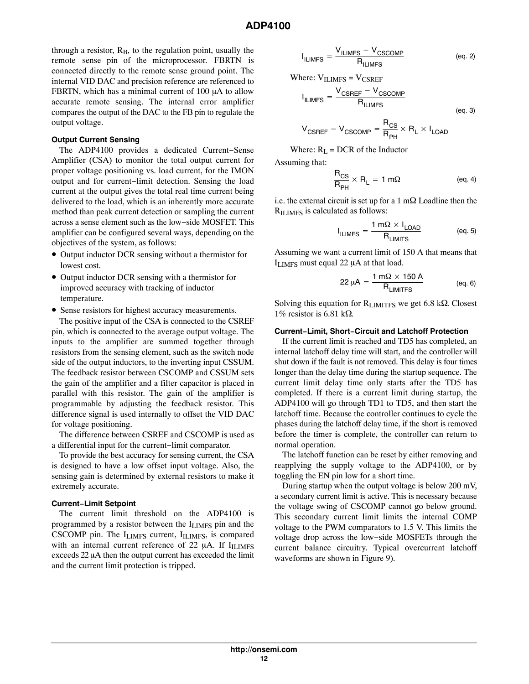through a resistor,  $R_B$ , to the regulation point, usually the remote sense pin of the microprocessor. FBRTN is connected directly to the remote sense ground point. The internal VID DAC and precision reference are referenced to FBRTN, which has a minimal current of  $100 \mu A$  to allow accurate remote sensing. The internal error amplifier compares the output of the DAC to the FB pin to regulate the output voltage.

### **Output Current Sensing**

The ADP4100 provides a dedicated Current−Sense Amplifier (CSA) to monitor the total output current for proper voltage positioning vs. load current, for the IMON output and for current−limit detection. Sensing the load current at the output gives the total real time current being delivered to the load, which is an inherently more accurate method than peak current detection or sampling the current across a sense element such as the low−side MOSFET. This amplifier can be configured several ways, depending on the objectives of the system, as follows:

- Output inductor DCR sensing without a thermistor for lowest cost.
- Output inductor DCR sensing with a thermistor for improved accuracy with tracking of inductor temperature.
- Sense resistors for highest accuracy measurements.

The positive input of the CSA is connected to the CSREF pin, which is connected to the average output voltage. The inputs to the amplifier are summed together through resistors from the sensing element, such as the switch node side of the output inductors, to the inverting input CSSUM. The feedback resistor between CSCOMP and CSSUM sets the gain of the amplifier and a filter capacitor is placed in parallel with this resistor. The gain of the amplifier is programmable by adjusting the feedback resistor. This difference signal is used internally to offset the VID DAC for voltage positioning.

The difference between CSREF and CSCOMP is used as a differential input for the current−limit comparator.

To provide the best accuracy for sensing current, the CSA is designed to have a low offset input voltage. Also, the sensing gain is determined by external resistors to make it extremely accurate.

#### **Current−Limit Setpoint**

The current limit threshold on the ADP4100 is programmed by a resistor between the ILIMFS pin and the CSCOMP pin. The I<sub>LIMFS</sub> current, I<sub>ILIMFS</sub>, is compared with an internal current reference of 22  $\mu$ A. If I $_{\text{ILIMFS}}$ exceeds  $22 \mu A$  then the output current has exceeded the limit and the current limit protection is tripped.

$$
I_{ILIMFS} = \frac{V_{ILIMFS} - V_{CSCOMP}}{R_{ILIMFS}}
$$
 (eq. 2)

Where: 
$$
V_{ILIMFS} = V_{CSREF}
$$

$$
I_{ILIMFS} = \frac{V_{CSREF} - V_{CSCOMP}}{R_{ILIMFS}}
$$
\n
$$
(eq. 3)
$$

$$
V_{\text{CSREF}} - V_{\text{CSCOMP}} = \frac{R_{\text{CS}}}{R_{\text{PH}}} \times R_{\text{L}} \times I_{\text{LOAD}}
$$

Where:  $R_L = DCR$  of the Inductor

Assuming that:

$$
\frac{R_{CS}}{R_{PH}} \times R_L = 1 \text{ m}\Omega \qquad \text{(eq. 4)}
$$

i.e. the external circuit is set up for a  $1 \text{ m}\Omega$  Loadline then the R<sub>ILIMFS</sub> is calculated as follows:

$$
I_{ILIMFS} = \frac{1 \text{ m}\Omega \times I_{LOAD}}{R_{LIMITS}}
$$
 (eq. 5)

Assuming we want a current limit of 150 A that means that  $I_{LIMFS}$  must equal 22  $\mu$ A at that load.

$$
22 \mu A = \frac{1 \text{ m}\Omega \times 150 \text{ A}}{R_{LIMITFS}}
$$
 (eq. 6)

Solving this equation for  $R_{LIMITS}$  we get 6.8 k $\Omega$ . Closest 1% resistor is 6.81 k $\Omega$ .

#### **Current−Limit, Short−Circuit and Latchoff Protection**

If the current limit is reached and TD5 has completed, an internal latchoff delay time will start, and the controller will shut down if the fault is not removed. This delay is four times longer than the delay time during the startup sequence. The current limit delay time only starts after the TD5 has completed. If there is a current limit during startup, the ADP4100 will go through TD1 to TD5, and then start the latchoff time. Because the controller continues to cycle the phases during the latchoff delay time, if the short is removed before the timer is complete, the controller can return to normal operation.

The latchoff function can be reset by either removing and reapplying the supply voltage to the ADP4100, or by toggling the EN pin low for a short time.

During startup when the output voltage is below 200 mV, a secondary current limit is active. This is necessary because the voltage swing of CSCOMP cannot go below ground. This secondary current limit limits the internal COMP voltage to the PWM comparators to 1.5 V. This limits the voltage drop across the low−side MOSFETs through the current balance circuitry. Typical overcurrent latchoff waveforms are shown in Figure [9](#page-12-0)).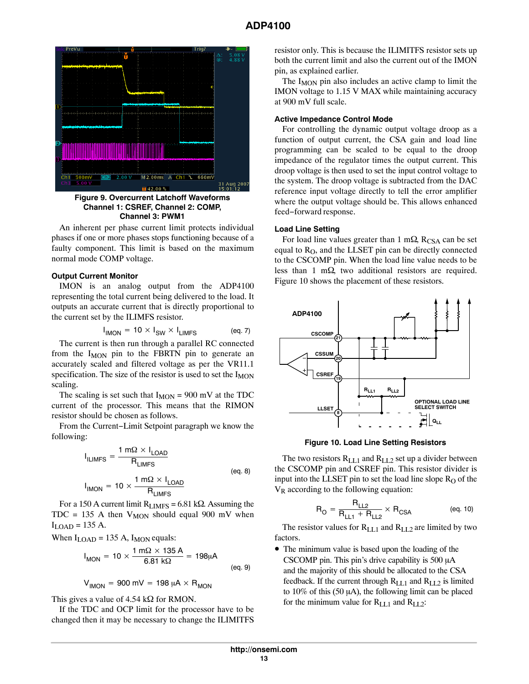<span id="page-12-0"></span>![](_page_12_Figure_1.jpeg)

**Figure 9. Overcurrent Latchoff Waveforms Channel 1: CSREF, Channel 2: COMP, Channel 3: PWM1**

An inherent per phase current limit protects individual phases if one or more phases stops functioning because of a faulty component. This limit is based on the maximum normal mode COMP voltage.

#### **Output Current Monitor**

IMON is an analog output from the ADP4100 representing the total current being delivered to the load. It outputs an accurate current that is directly proportional to the current set by the ILIMFS resistor.

$$
I_{\text{IMON}} = 10 \times I_{\text{SW}} \times I_{\text{LIMFS}} \tag{eq.7}
$$

The current is then run through a parallel RC connected from the I<sub>MON</sub> pin to the FBRTN pin to generate an accurately scaled and filtered voltage as per the VR11.1 specification. The size of the resistor is used to set the  $I_{\text{MON}}$ scaling.

The scaling is set such that  $I_{MON} = 900$  mV at the TDC current of the processor. This means that the RIMON resistor should be chosen as follows.

From the Current−Limit Setpoint paragraph we know the following:

$$
I_{ILIMFS} = \frac{1 \text{ m}\Omega \times I_{LOAD}}{R_{LIMFS}}
$$
\n
$$
I_{IMON} = 10 \times \frac{1 \text{ m}\Omega \times I_{LOAD}}{R_{LIMFS}}
$$
\n
$$
(eq. 8)
$$

For a 150 A current limit  $R_{LIMFS} = 6.81$  k $\Omega$ . Assuming the TDC = 135 A then  $V_{MON}$  should equal 900 mV when  $I_{\text{LOAD}}$  = 135 A.

When  $I_{\text{LOAD}}$  = 135 A,  $I_{\text{MON}}$  equals:

$$
I_{MON} = 10 \times \frac{1 \text{ m}\Omega \times 135 \text{ A}}{6.81 \text{ k}\Omega} = 198 \mu \text{A}
$$
 (eq. 9)

$$
V_{\text{IMON}} = 900 \text{ mV} = 198 \text{ }\mu\text{A} \times \text{R}_{\text{MON}}
$$

This gives a value of  $4.54 \text{ k}\Omega$  for RMON.

If the TDC and OCP limit for the processor have to be changed then it may be necessary to change the ILIMITFS

resistor only. This is because the ILIMITFS resistor sets up both the current limit and also the current out of the IMON pin, as explained earlier.

The  $I_{MON}$  pin also includes an active clamp to limit the IMON voltage to 1.15 V MAX while maintaining accuracy at 900 mV full scale.

# **Active Impedance Control Mode**

For controlling the dynamic output voltage droop as a function of output current, the CSA gain and load line programming can be scaled to be equal to the droop impedance of the regulator times the output current. This droop voltage is then used to set the input control voltage to the system. The droop voltage is subtracted from the DAC reference input voltage directly to tell the error amplifier where the output voltage should be. This allows enhanced feed−forward response.

#### **Load Line Setting**

For load line values greater than 1 m $\Omega$ , R<sub>CSA</sub> can be set equal to  $R<sub>O</sub>$ , and the LLSET pin can be directly connected to the CSCOMP pin. When the load line value needs to be less than 1 m $\Omega$ , two additional resistors are required. Figure 10 shows the placement of these resistors.

![](_page_12_Figure_23.jpeg)

**Figure 10. Load Line Setting Resistors**

The two resistors  $R_{LL1}$  and  $R_{LL2}$  set up a divider between the CSCOMP pin and CSREF pin. This resistor divider is input into the LLSET pin to set the load line slope  $R<sub>O</sub>$  of the  $V_R$  according to the following equation:

$$
R_{O} = \frac{R_{LL2}}{R_{LL1} + R_{LL2}} \times R_{CSA}
$$
 (eq. 10)

The resistor values for  $R_{LL1}$  and  $R_{LL2}$  are limited by two factors.

• The minimum value is based upon the loading of the CSCOMP pin. This pin's drive capability is  $500 \mu A$ and the majority of this should be allocated to the CSA feedback. If the current through  $R_{LL1}$  and  $R_{LL2}$  is limited to 10% of this (50  $\mu$ A), the following limit can be placed for the minimum value for  $R_{LL1}$  and  $R_{LL2}$ :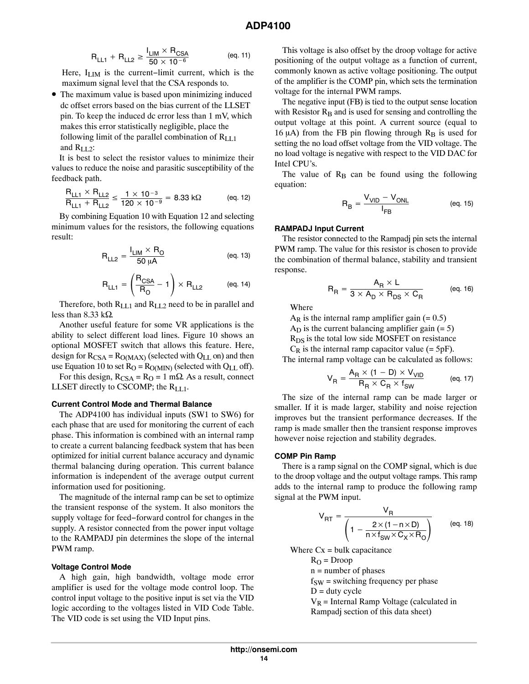$$
R_{LL1} + R_{LL2} \ge \frac{I_{LM} \times R_{CSA}}{50 \times 10^{-6}}
$$
 (eq. 11)

Here, I<sub>LIM</sub> is the current–limit current, which is the maximum signal level that the CSA responds to.

• The maximum value is based upon minimizing induced dc offset errors based on the bias current of the LLSET pin. To keep the induced dc error less than 1 mV, which makes this error statistically negligible, place the following limit of the parallel combination of  $R_{LL1}$ and  $R_{LL2}$ :

It is best to select the resistor values to minimize their values to reduce the noise and parasitic susceptibility of the feedback path.

$$
\frac{R_{LL1}\times R_{LL2}}{R_{LL1}+R_{LL2}}\leq \frac{1\times 10^{-3}}{120\times 10^{-9}}=8.33\; k\Omega\qquad \qquad (\text{eq. 12})
$$

By combining Equation [10](#page-12-0) with Equation 12 and selecting minimum values for the resistors, the following equations result:

$$
R_{LL2} = \frac{I_{LIM} \times R_O}{50 \mu A}
$$
 (eq. 13)

$$
R_{LL1} = \left(\frac{R_{CSA}}{R_O} - 1\right) \times R_{LL2} \qquad \qquad \text{(eq. 14)}
$$

Therefore, both  $R_{LL1}$  and  $R_{LL2}$  need to be in parallel and less than 8.33 k $\Omega$ .

Another useful feature for some VR applications is the ability to select different load lines. Figure [10](#page-12-0) shows an optional MOSFET switch that allows this feature. Here, design for  $R_{CSA} = R_{O(MAX)}$  (selected with  $Q_{LL}$  on) and then use Equation [10](#page-12-0) to set  $R_O = R_{O(MIN)}$  (selected with  $Q_{LL}$  off).

For this design,  $R_{CSA} = R_O = 1$  m $\Omega$ . As a result, connect LLSET directly to CSCOMP; the RLL1.

#### **Current Control Mode and Thermal Balance**

The ADP4100 has individual inputs (SW1 to SW6) for each phase that are used for monitoring the current of each phase. This information is combined with an internal ramp to create a current balancing feedback system that has been optimized for initial current balance accuracy and dynamic thermal balancing during operation. This current balance information is independent of the average output current information used for positioning.

The magnitude of the internal ramp can be set to optimize the transient response of the system. It also monitors the supply voltage for feed−forward control for changes in the supply. A resistor connected from the power input voltage to the RAMPADJ pin determines the slope of the internal PWM ramp.

#### **Voltage Control Mode**

A high gain, high bandwidth, voltage mode error amplifier is used for the voltage mode control loop. The control input voltage to the positive input is set via the VID logic according to the voltages listed in VID Code Table. The VID code is set using the VID Input pins.

This voltage is also offset by the droop voltage for active positioning of the output voltage as a function of current, commonly known as active voltage positioning. The output of the amplifier is the COMP pin, which sets the termination voltage for the internal PWM ramps.

The negative input (FB) is tied to the output sense location with Resistor  $R_B$  and is used for sensing and controlling the output voltage at this point. A current source (equal to 16  $\mu$ A) from the FB pin flowing through R<sub>B</sub> is used for setting the no load offset voltage from the VID voltage. The no load voltage is negative with respect to the VID DAC for Intel CPU's.

The value of  $R_B$  can be found using the following equation:

$$
R_B = \frac{V_{VID} - V_{ONL}}{I_{FB}}
$$
 (eq. 15)

### **RAMPADJ Input Current**

The resistor connected to the Rampadj pin sets the internal PWM ramp. The value for this resistor is chosen to provide the combination of thermal balance, stability and transient response.

$$
R_R = \frac{A_R \times L}{3 \times A_D \times R_{DS} \times C_R}
$$
 (eq. 16)

Where

 $A_R$  is the internal ramp amplifier gain (= 0.5)

 $A_D$  is the current balancing amplifier gain  $(= 5)$ 

 $R_{DS}$  is the total low side MOSFET on resistance

 $C_R$  is the internal ramp capacitor value (= 5pF).

The internal ramp voltage can be calculated as follows:

$$
V_R = \frac{A_R \times (1 - D) \times V_{VID}}{R_R \times C_R \times f_{SW}}
$$
 (eq. 17)

The size of the internal ramp can be made larger or smaller. If it is made larger, stability and noise rejection improves but the transient performance decreases. If the ramp is made smaller then the transient response improves however noise rejection and stability degrades.

#### **COMP Pin Ramp**

There is a ramp signal on the COMP signal, which is due to the droop voltage and the output voltage ramps. This ramp adds to the internal ramp to produce the following ramp signal at the PWM input.

$$
V_{\text{RT}} = \frac{V_{\text{R}}}{\left(1 - \frac{2 \times (1 - n \times D)}{n \times f_{\text{SW}} \times C_{\text{X}} \times R_{\text{O}}}\right)}
$$
 (eq. 18)

Where  $Cx = bulk$  capacitance

 $R<sub>O</sub>$  = Droop

n = number of phases

 $f_{SW}$  = switching frequency per phase

 $D =$  duty cycle

 $V_R$  = Internal Ramp Voltage (calculated in Rampadj section of this data sheet)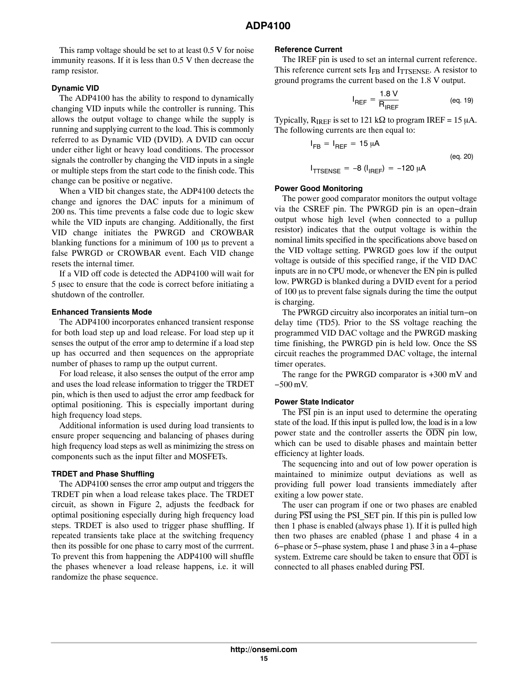This ramp voltage should be set to at least 0.5 V for noise immunity reasons. If it is less than 0.5 V then decrease the ramp resistor.

#### **Dynamic VID**

The ADP4100 has the ability to respond to dynamically changing VID inputs while the controller is running. This allows the output voltage to change while the supply is running and supplying current to the load. This is commonly referred to as Dynamic VID (DVID). A DVID can occur under either light or heavy load conditions. The processor signals the controller by changing the VID inputs in a single or multiple steps from the start code to the finish code. This change can be positive or negative.

When a VID bit changes state, the ADP4100 detects the change and ignores the DAC inputs for a minimum of 200 ns. This time prevents a false code due to logic skew while the VID inputs are changing. Additionally, the first VID change initiates the PWRGD and CROWBAR blanking functions for a minimum of  $100 \mu s$  to prevent a false PWRGD or CROWBAR event. Each VID change resets the internal timer.

If a VID off code is detected the ADP4100 will wait for 5 usec to ensure that the code is correct before initiating a shutdown of the controller.

#### **Enhanced Transients Mode**

The ADP4100 incorporates enhanced transient response for both load step up and load release. For load step up it senses the output of the error amp to determine if a load step up has occurred and then sequences on the appropriate number of phases to ramp up the output current.

For load release, it also senses the output of the error amp and uses the load release information to trigger the TRDET pin, which is then used to adjust the error amp feedback for optimal positioning. This is especially important during high frequency load steps.

Additional information is used during load transients to ensure proper sequencing and balancing of phases during high frequency load steps as well as minimizing the stress on components such as the input filter and MOSFETs.

#### **TRDET and Phase Shuffling**

The ADP4100 senses the error amp output and triggers the TRDET pin when a load release takes place. The TRDET circuit, as shown in Figure 2, adjusts the feedback for optimal positioning especially during high frequency load steps. TRDET is also used to trigger phase shuffling. If repeated transients take place at the switching frequency then its possible for one phase to carry most of the currrent. To prevent this from happening the ADP4100 will shuffle the phases whenever a load release happens, i.e. it will randomize the phase sequence.

#### **Reference Current**

The IREF pin is used to set an internal current reference. This reference current sets  $I_{FB}$  and  $I_{TTSENSE}$ . A resistor to ground programs the current based on the 1.8 V output.

$$
I_{REF} = \frac{1.8 \text{ V}}{R_{IREF}} \tag{eq. 19}
$$

Typically,  $R_{IREF}$  is set to 121 k $\Omega$  to program IREF = 15  $\mu$ A. The following currents are then equal to:

$$
I_{FB} = I_{REF} = 15 \mu A
$$
\n
$$
(eq. 20)
$$

$$
I_{\text{TTSENSE}} = -8 (I_{\text{IREF}}) = -120 \mu \text{A}
$$

#### **Power Good Monitoring**

The power good comparator monitors the output voltage via the CSREF pin. The PWRGD pin is an open−drain output whose high level (when connected to a pullup resistor) indicates that the output voltage is within the nominal limits specified in the specifications above based on the VID voltage setting. PWRGD goes low if the output voltage is outside of this specified range, if the VID DAC inputs are in no CPU mode, or whenever the EN pin is pulled low. PWRGD is blanked during a DVID event for a period of 100 us to prevent false signals during the time the output is charging.

The PWRGD circuitry also incorporates an initial turn−on delay time (TD5). Prior to the SS voltage reaching the programmed VID DAC voltage and the PWRGD masking time finishing, the PWRGD pin is held low. Once the SS circuit reaches the programmed DAC voltage, the internal timer operates.

The range for the PWRGD comparator is +300 mV and −500 mV.

### **Power State Indicator**

The  $\overline{PSI}$  pin is an input used to determine the operating state of the load. If this input is pulled low, the load is in a low power state and the controller asserts the  $\overline{ODN}$  pin low, which can be used to disable phases and maintain better efficiency at lighter loads.

The sequencing into and out of low power operation is maintained to minimize output deviations as well as providing full power load transients immediately after exiting a low power state.

The user can program if one or two phases are enabled during  $\overline{PSI}$  using the PSI SET pin. If this pin is pulled low then 1 phase is enabled (always phase 1). If it is pulled high then two phases are enabled (phase 1 and phase 4 in a 6−phase or 5−phase system, phase 1 and phase 3 in a 4−phase system. Extreme care should be taken to ensure that  $\overline{OD1}$  is connected to all phases enabled during PSI.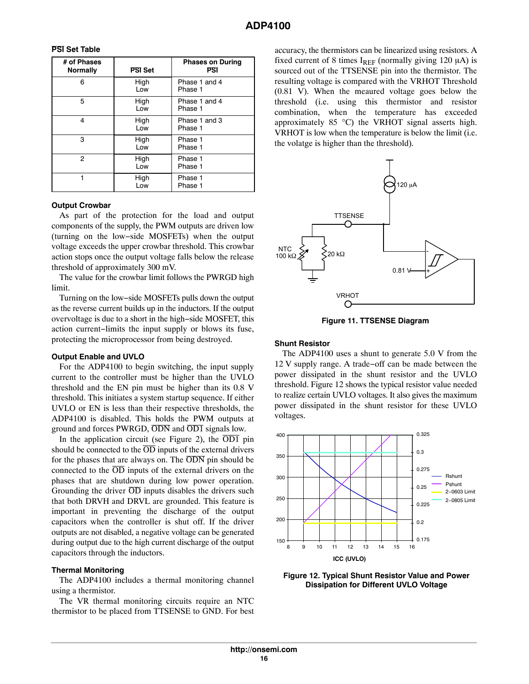### **PSI Set Table**

| # of Phases<br><b>Normally</b> | <b>PSI</b> Set | <b>Phases on During</b><br><b>PSI</b> |
|--------------------------------|----------------|---------------------------------------|
| 6                              | High<br>Low    | Phase 1 and 4<br>Phase 1              |
| 5                              | High<br>Low    | Phase 1 and 4<br>Phase 1              |
| 4                              | High<br>Low    | Phase 1 and 3<br>Phase 1              |
| 3                              | High<br>Low    | Phase 1<br>Phase 1                    |
| 2                              | High<br>Low    | Phase 1<br>Phase 1                    |
|                                | High<br>Low    | Phase 1<br>Phase 1                    |

#### **Output Crowbar**

As part of the protection for the load and output components of the supply, the PWM outputs are driven low (turning on the low−side MOSFETs) when the output voltage exceeds the upper crowbar threshold. This crowbar action stops once the output voltage falls below the release threshold of approximately 300 mV.

The value for the crowbar limit follows the PWRGD high limit.

Turning on the low−side MOSFETs pulls down the output as the reverse current builds up in the inductors. If the output overvoltage is due to a short in the high−side MOSFET, this action current−limits the input supply or blows its fuse, protecting the microprocessor from being destroyed.

#### **Output Enable and UVLO**

For the ADP4100 to begin switching, the input supply current to the controller must be higher than the UVLO threshold and the EN pin must be higher than its 0.8 V threshold. This initiates a system startup sequence. If either UVLO or EN is less than their respective thresholds, the ADP4100 is disabled. This holds the PWM outputs at ground and forces PWRGD, ODN and OD1 signals low.

In the application circuit (see Figure [2](#page-2-0)), the  $\overline{OD1}$  pin should be connected to the  $\overline{OD}$  inputs of the external drivers for the phases that are always on. The ODN pin should be connected to the  $\overline{OD}$  inputs of the external drivers on the phases that are shutdown during low power operation. Grounding the driver  $\overline{OD}$  inputs disables the drivers such that both DRVH and DRVL are grounded. This feature is important in preventing the discharge of the output capacitors when the controller is shut off. If the driver outputs are not disabled, a negative voltage can be generated during output due to the high current discharge of the output capacitors through the inductors.

#### **Thermal Monitoring**

The ADP4100 includes a thermal monitoring channel using a thermistor.

The VR thermal monitoring circuits require an NTC thermistor to be placed from TTSENSE to GND. For best

accuracy, the thermistors can be linearized using resistors. A fixed current of 8 times  $I_{REF}$  (normally giving 120  $\mu$ A) is sourced out of the TTSENSE pin into the thermistor. The resulting voltage is compared with the VRHOT Threshold (0.81 V). When the meaured voltage goes below the threshold (i.e. using this thermistor and resistor combination, when the temperature has exceeded approximately  $85 \text{ °C}$  the VRHOT signal asserts high. VRHOT is low when the temperature is below the limit (i.e. the volatge is higher than the threshold).

![](_page_15_Figure_14.jpeg)

**Figure 11. TTSENSE Diagram**

### **Shunt Resistor**

The ADP4100 uses a shunt to generate 5.0 V from the 12 V supply range. A trade−off can be made between the power dissipated in the shunt resistor and the UVLO threshold. Figure 12 shows the typical resistor value needed to realize certain UVLO voltages. It also gives the maximum power dissipated in the shunt resistor for these UVLO voltages.

![](_page_15_Figure_18.jpeg)

![](_page_15_Figure_19.jpeg)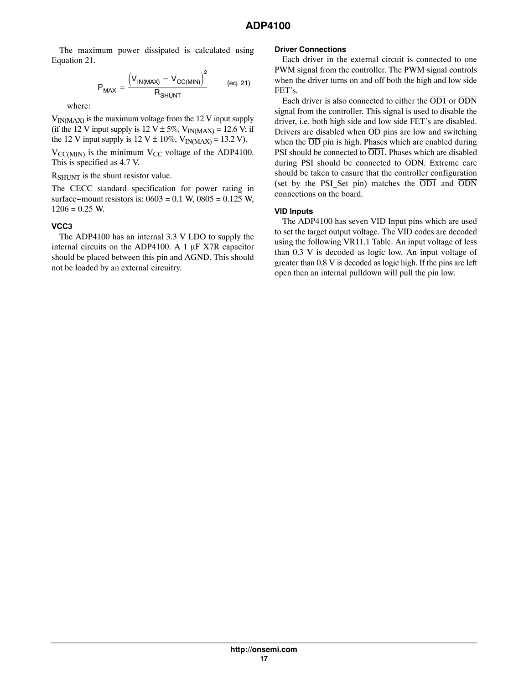The maximum power dissipated is calculated using Equation 21.

$$
P_{MAX} = \frac{\left(V_{IN(MAX)} - V_{CC(MIN)}\right)^{2}}{R_{SHUNT}} \qquad (eq. 21)
$$

where:

 $V_{IN(MAX)}$  is the maximum voltage from the 12 V input supply (if the 12 V input supply is 12 V  $\pm$  5%, V<sub>IN(MAX)</sub> = 12.6 V; if the 12 V input supply is 12 V  $\pm$  10%, V<sub>IN(MAX)</sub> = 13.2 V).

 $V_{\text{CC(MIN)}}$  is the minimum  $V_{\text{CC}}$  voltage of the ADP4100. This is specified as 4.7 V.

R<sub>SHUNT</sub> is the shunt resistor value.

The CECC standard specification for power rating in surface−mount resistors is: 0603 = 0.1 W, 0805 = 0.125 W,  $1206 = 0.25$  W.

# **VCC3**

The ADP4100 has an internal 3.3 V LDO to supply the internal circuits on the ADP4100. A 1  $\mu$ F X7R capacitor should be placed between this pin and AGND. This should not be loaded by an external circuitry.

### **Driver Connections**

Each driver in the external circuit is connected to one PWM signal from the controller. The PWM signal controls when the driver turns on and off both the high and low side FET's.

Each driver is also connected to either the OD1 or ODN signal from the controller. This signal is used to disable the driver, i.e. both high side and low side FET's are disabled. Drivers are disabled when  $\overline{OD}$  pins are low and switching when the  $\overline{OD}$  pin is high. Phases which are enabled during PSI should be connected to  $\overline{OD1}$ . Phases which are disabled during PSI should be connected to  $\overline{ODN}$ . Extreme care should be taken to ensure that the controller configuration (set by the PSI Set pin) matches the  $\overline{OD1}$  and  $\overline{ODN}$ connections on the board.

### **VID Inputs**

The ADP4100 has seven VID Input pins which are used to set the target output voltage. The VID codes are decoded using the following VR11.1 Table. An input voltage of less than 0.3 V is decoded as logic low. An input voltage of greater than 0.8 V is decoded as logic high. If the pins are left open then an internal pulldown will pull the pin low.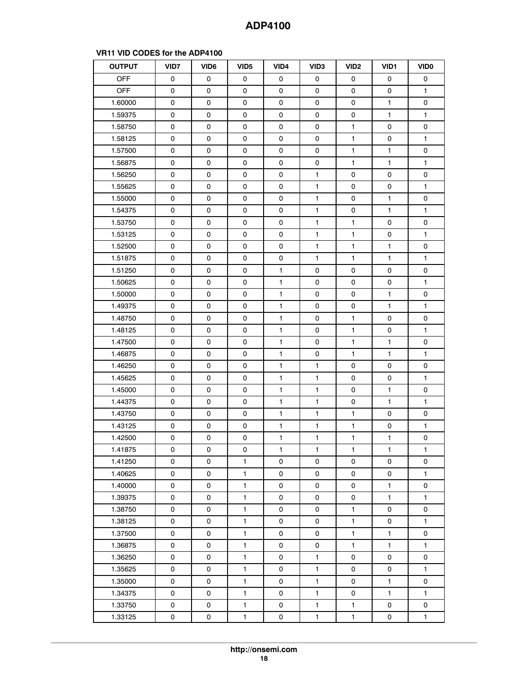| <b>OUTPUT</b> | VID7 | VID <sub>6</sub> | VID <sub>5</sub> | VID4         | VID <sub>3</sub> | VID <sub>2</sub> | VID1         | <b>VIDO</b>  |
|---------------|------|------------------|------------------|--------------|------------------|------------------|--------------|--------------|
| <b>OFF</b>    | 0    | 0                | 0                | 0            | 0                | 0                | 0            | 0            |
| <b>OFF</b>    | 0    | 0                | 0                | 0            | 0                | 0                | 0            | 1            |
| 1.60000       | 0    | 0                | 0                | 0            | 0                | 0                | 1            | 0            |
| 1.59375       | 0    | 0                | 0                | 0            | 0                | 0                | $\mathbf{1}$ | $\mathbf{1}$ |
| 1.58750       | 0    | 0                | $\mathsf 0$      | 0            | 0                | $\mathbf{1}$     | 0            | 0            |
| 1.58125       | 0    | 0                | 0                | 0            | 0                | $\mathbf{1}$     | 0            | $\mathbf{1}$ |
| 1.57500       | 0    | 0                | 0                | 0            | 0                | $\mathbf{1}$     | 1            | 0            |
| 1.56875       | 0    | 0                | 0                | 0            | 0                | $\mathbf{1}$     | 1            | $\mathbf{1}$ |
| 1.56250       | 0    | 0                | 0                | 0            | $\mathbf{1}$     | 0                | 0            | 0            |
| 1.55625       | 0    | 0                | 0                | 0            | 1                | 0                | 0            | 1            |
| 1.55000       | 0    | 0                | 0                | 0            | $\mathbf{1}$     | 0                | 1            | 0            |
| 1.54375       | 0    | 0                | 0                | 0            | 1                | 0                | 1            | $\mathbf{1}$ |
| 1.53750       | 0    | 0                | 0                | 0            | $\mathbf{1}$     | $\mathbf{1}$     | 0            | 0            |
| 1.53125       | 0    | 0                | 0                | 0            | 1                | 1                | 0            | 1            |
| 1.52500       | 0    | 0                | 0                | 0            | $\mathbf{1}$     | 1                | 1            | 0            |
| 1.51875       | 0    | 0                | 0                | 0            | $\mathbf{1}$     | $\mathbf{1}$     | 1            | $\mathbf{1}$ |
| 1.51250       | 0    | 0                | 0                | $\mathbf{1}$ | 0                | 0                | 0            | 0            |
| 1.50625       | 0    | 0                | 0                | $\mathbf{1}$ | 0                | 0                | 0            | $\mathbf{1}$ |
| 1.50000       | 0    | 0                | 0                | 1.           | 0                | 0                | $\mathbf{1}$ | 0            |
| 1.49375       | 0    | 0                | 0                | $\mathbf{1}$ | 0                | 0                | 1            | 1            |
| 1.48750       | 0    | 0                | 0                | $\mathbf{1}$ | 0                | $\mathbf{1}$     | 0            | 0            |
| 1.48125       | 0    | 0                | 0                | 1            | 0                | 1                | 0            | 1            |
| 1.47500       | 0    | 0                | 0                | $\mathbf{1}$ | 0                | $\mathbf{1}$     | 1            | 0            |
| 1.46875       | 0    | 0                | $\mathsf 0$      | $\mathbf{1}$ | 0                | $\mathbf{1}$     | 1            | $\mathbf{1}$ |
| 1.46250       | 0    | 0                | 0                | $\mathbf{1}$ | 1                | 0                | 0            | 0            |
| 1.45625       | 0    | 0                | 0                | $\mathbf{1}$ | 1                | 0                | 0            | 1            |
| 1.45000       | 0    | 0                | 0                | $\mathbf{1}$ | $\mathbf{1}$     | 0                | 1            | 0            |
| 1.44375       | 0    | 0                | 0                | $\mathbf{1}$ | 1                | 0                | 1            | $\mathbf{1}$ |
| 1.43750       | 0    | 0                | 0                | $\mathbf{1}$ | $\mathbf{1}$     | $\mathbf{1}$     | 0            | 0            |
| 1.43125       | 0    | 0                | 0                | $\mathbf{1}$ | $\mathbf{1}$     | $\mathbf{1}$     | 0            | $\mathbf{1}$ |
| 1.42500       | 0    | 0                | 0                | $\mathbf{1}$ | $\mathbf{1}$     | 1                | 1            | 0            |
| 1.41875       | 0    | 0                | 0                | 1            | 1                | 1                | $\mathbf{1}$ | $\mathbf{1}$ |
| 1.41250       | 0    | 0                | $\mathbf{1}$     | 0            | 0                | 0                | 0            | 0            |
| 1.40625       | 0    | 0                | $\mathbf{1}$     | 0            | 0                | 0                | 0            | $\mathbf{1}$ |
| 1.40000       | 0    | 0                | $\mathbf{1}$     | 0            | 0                | 0                | 1            | 0            |
| 1.39375       | 0    | 0                | 1                | 0            | 0                | 0                | 1            | 1            |
| 1.38750       | 0    | 0                | 1                | 0            | 0                | $\mathbf{1}$     | 0            | 0            |
| 1.38125       | 0    | 0                | $\mathbf{1}$     | 0            | 0                | 1                | 0            | 1            |
| 1.37500       | 0    | 0                | 1                | 0            | 0                | 1                | 1            | 0            |
| 1.36875       | 0    | 0                | $\mathbf{1}$     | 0            | 0                | $\mathbf{1}$     | 1            | 1            |
| 1.36250       | 0    | 0                | 1                | 0            | 1                | 0                | 0            | 0            |
| 1.35625       | 0    | 0                | $\mathbf{1}$     | 0            | $\mathbf{1}$     | 0                | 0            | $\mathbf{1}$ |
| 1.35000       | 0    | 0                | 1                | 0            | 1                | 0                | 1            | 0            |
| 1.34375       | 0    | 0                | 1                | 0            | 1                | 0                | 1            | $\mathbf{1}$ |
| 1.33750       | 0    | 0                | 1                | 0            | 1                | $\mathbf{1}$     | 0            | 0            |
| 1.33125       | 0    | 0                | $\mathbf{1}$     | 0            | 1                | $\mathbf{1}$     | 0            | $\mathbf{1}$ |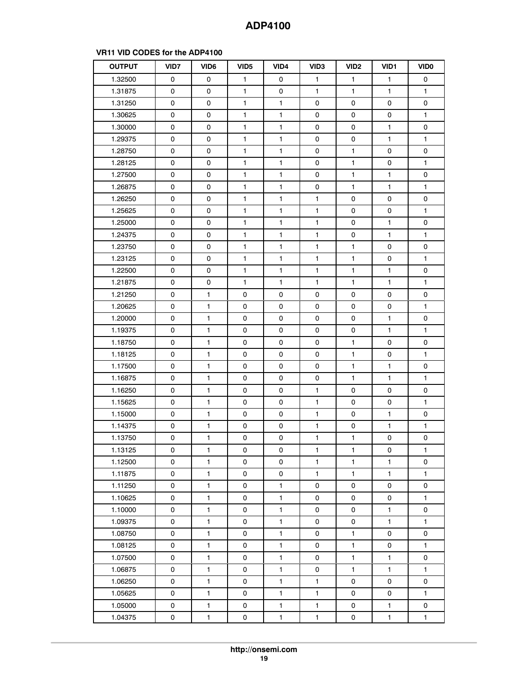# **OUTPUT VID7 VID6 VID5 VID4 VID3 VID2 VID1 VID0** 1.32500 | 0 | 0 | 1 | 0 | 1 | 1 | 1 | 0 1.31875 | 0 | 0 | 1 | 0 | 1 | 1 | 1 | 1 1.31250 0 0 0 1 1 1 0 0 0 0 0 1.30625 | 0 | 0 | 1 | 1 | 0 | 0 | 0 | 1 1.30000 | 0 | 0 | 1 | 1 | 0 | 0 | 1 | 0 1.29375 | 0 | 0 | 1 | 1 | 0 | 0 | 1 | 1 1.28750 0 0 0 1 1 1 0 1 1 0 0 0 1.28125 | 0 | 0 | 1 | 1 | 0 | 1 | 0 | 1 1.27500 | 0 | 0 | 1 | 1 | 0 | 1 | 1 | 0 1.26875 | 0 | 0 | 1 | 1 | 0 | 1 | 1 | 1 1.26250 0 0 0 1 1 1 1 0 0 0 1.25625 | 0 | 0 | 1 | 1 | 1 | 0 | 0 | 1 1.25000 | 0 | 0 | 1 | 1 | 1 | 0 | 1 | 0 1.24375 | 0 | 0 | 1 | 1 | 1 | 0 | 1 | 1 1.23750 0 0 0 1 1 1 1 1 1 0 0 1.23125 | 0 | 0 | 1 | 1 | 1 | 1 | 0 | 1 1.22500 | 0 | 0 | 1 | 1 | 1 | 1 | 1 | 0 1.21875 | 0 | 0 | 1 | 1 | 1 | 1 | 1 | 1 1.21250 0 1 0 0 0 0 0 0 0 0 1.20625 | 0 | 1 | 0 | 0 | 0 | 0 | 0 | 1 1.20000 0 1 0 0 0 0 0 0 1 0 0 1.19375 | 0 | 1 | 0 | 0 | 0 | 0 | 1 | 1 1.18750 0 1 0 0 0 0 0 1 0 0 1.18125 | 0 | 1 | 0 | 0 | 0 | 1 | 0 | 1 1.17500 0 1 1 0 0 0 0 1 1 1 0 1.16875 | 0 | 1 | 0 | 0 | 0 | 1 | 1 | 1 1.16250 0 1 0 0 0 1 0 0 0 1.15625 | 0 | 1 | 0 | 0 | 1 | 0 | 0 | 1 1.15000 0 1 0 0 0 1 0 1 0 0 1 0 1.14375 | 0 | 1 | 0 | 0 | 1 | 0 | 1 | 1 1.13750 0 1 1 0 0 0 1 1 1 0 0 0 1.13125 | 0 | 1 | 0 | 0 | 1 | 1 | 0 | 1 1.12500 | 0 | 1 | 0 | 0 | 1 | 1 | 1 | 0 1.11875 | 0 | 1 | 0 | 0 | 1 | 1 | 1 | 1 1.11250 0 1 0 0 1 0 0 0 0 0 1.10625 | 0 | 1 | 0 | 1 | 0 | 0 | 0 | 1 1.10000 0 1 0 0 1 0 1 0 0 0 1 0 0 1.09375 | 0 | 1 | 0 | 1 | 0 | 0 | 1 | 1 1.08750 0 1 0 1 0 1 0 1 0 0 1.08125 | 0 | 1 | 0 | 1 | 0 | 1 | 0 | 1 1.07500 0 1 1 0 1 1 0 1 1 1 0 1.06875 | 0 | 1 | 0 | 1 | 0 | 1 | 1 | 1 1.06250 0 1 0 1 0 1 1 0 0 0 1.05625 | 0 | 1 | 0 | 1 | 1 | 0 | 0 | 1 1.05000 0 1 1 0 1 1 1 1 0 1 1 0 1.04375 | 0 | 1 | 0 | 1 | 1 | 0 | 1 | 1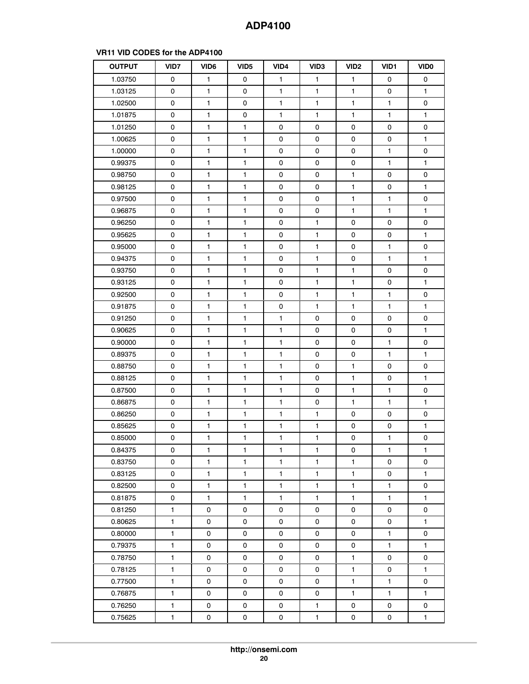# **OUTPUT VID7 VID6 VID5 VID4 VID3 VID2 VID1 VID0** 1.03750 | 0 | 1 | 0 | 1 | 1 | 1 | 0 | 0 1.03125 | 0 | 1 | 0 | 1 | 1 | 1 | 0 | 1 1.02500 | 0 | 1 | 0 | 1 | 1 | 1 | 1 | 0 1.01875 | 0 | 1 | 0 | 1 | 1 | 1 | 1 | 1 1.01250 0 1 1 1 0 0 0 0 0 0 0 1.00625 | 0 | 1 | 1 | 0 | 0 | 0 | 0 | 1 1.00000 0 1 1 1 0 0 0 0 0 1 0 0.99375 | 0 | 1 | 1 | 0 | 0 | 0 | 1 | 1 0.98750 | 0 | 1 | 1 | 0 | 0 | 1 | 0 | 0 0.98125 | 0 | 1 | 1 | 0 | 0 | 1 | 0 | 1 0.97500 | 0 | 1 | 1 | 0 | 0 | 1 | 1 | 0 0.96875 | 0 | 1 | 1 | 0 | 0 | 1 | 1 | 1 0.96250 0 1 1 1 1 0 1 1 0 0 0 0 0.95625 | 0 | 1 | 1 | 0 | 1 | 0 | 0 | 1 0.95000 | 0 | 1 | 1 | 0 | 1 | 0 | 1 | 0 0.94375 | 0 | 1 | 1 | 0 | 1 | 0 | 1 | 1 0.93750 0 1 1 1 1 0 1 0 1 1 0 0 0 0.93125 | 0 | 1 | 1 | 0 | 1 | 1 | 0 | 1 0.92500 | 0 | 1 | 1 | 0 | 1 | 1 | 1 | 0 0.91875 | 0 | 1 | 1 | 0 | 1 | 1 | 1 | 1 0.91250 0 0 1 1 1 1 1 0 0 0 0 0 0.90625 | 0 | 1 | 1 | 1 | 0 | 0 | 0 | 1 0.90000 0 0 1 1 1 1 1 0 0 0 1 1 0 0.89375 | 0 | 1 | 1 | 1 | 0 | 0 | 1 | 1 0.88750 | 0 | 1 | 1 | 1 | 0 | 1 | 0 | 0 0.88125 | 0 | 1 | 1 | 1 | 0 | 1 | 0 | 1 0.87500 | 0 | 1 | 1 | 1 | 0 | 1 | 1 | 0 0.86875 | 0 | 1 | 1 | 1 | 0 | 1 | 1 | 1 0.86250 | 0 | 1 | 1 | 1 | 1 | 0 | 0 | 0 0.85625 | 0 | 1 | 1 | 1 | 1 | 0 | 0 | 1 0.85000 | 0 | 1 | 1 | 1 | 1 | 0 | 1 | 0 0.84375 | 0 | 1 | 1 | 1 | 1 | 0 | 1 | 1 0.83750 | 0 | 1 | 1 | 1 | 1 | 1 | 0 | 0 0.83125 | 0 | 1 | 1 | 1 | 1 | 1 | 0 | 1 0.82500 | 0 | 1 | 1 | 1 | 1 | 1 | 1 | 0 0.81875 | 0 | 1 | 1 | 1 | 1 | 1 | 1 | 1 0.81250 | 1 | 0 | 0 | 0 | 0 | 0 | 0 | 0 0.80625 | 1 | 0 | 0 | 0 | 0 | 0 | 0 | 1 0.80000 | 1 | 0 | 0 | 0 | 0 | 0 | 1 | 0 0.79375 | 1 | 0 | 0 | 0 | 0 | 0 | 1 | 1 0.78750 | 1 | 0 | 0 | 0 | 0 | 1 | 0 | 0 0.78125 | 1 | 0 | 0 | 0 | 0 | 1 | 0 | 1 0.77500 | 1 | 0 | 0 | 0 | 0 | 1 | 1 | 0 0.76875 | 1 | 0 | 0 | 0 | 0 | 1 | 1 | 1 0.76250 | 1 | 0 | 0 | 0 | 1 | 0 | 0 | 0 0.75625 | 1 | 0 | 0 | 0 | 1 | 0 | 0 | 1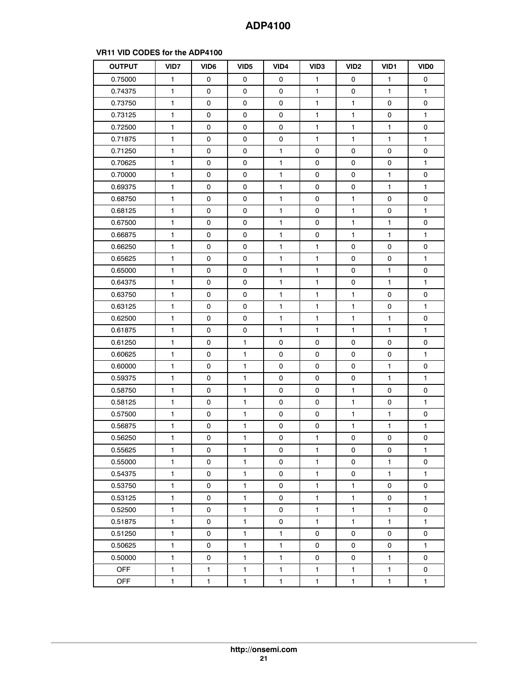| <b>OUTPUT</b> | VID7         | VID <sub>6</sub> | VID <sub>5</sub>    | VID4         | VID <sub>3</sub> | VID <sub>2</sub>    | VID1         | <b>VIDO</b>  |
|---------------|--------------|------------------|---------------------|--------------|------------------|---------------------|--------------|--------------|
| 0.75000       | 1            | 0                | 0                   | 0            | 1                | 0                   | $\mathbf{1}$ | 0            |
| 0.74375       | 1            | 0                | 0                   | 0            | 1                | 0                   | $\mathbf{1}$ | $\mathbf{1}$ |
| 0.73750       | $\mathbf{1}$ | 0                | 0                   | 0            | $\mathbf{1}$     | $\mathbf{1}$        | 0            | 0            |
| 0.73125       | 1            | 0                | 0                   | 0            | 1                | $\mathbf{1}$        | 0            | 1            |
| 0.72500       | $\mathbf{1}$ | 0                | 0                   | 0            | $\mathbf{1}$     | $\mathbf{1}$        | $\mathbf{1}$ | 0            |
| 0.71875       | 1            | 0                | 0                   | 0            | 1                | $\mathbf{1}$        | 1            | $\mathbf{1}$ |
| 0.71250       | $\mathbf{1}$ | 0                | 0                   | $\mathbf{1}$ | 0                | 0                   | 0            | 0            |
| 0.70625       | 1            | 0                | 0                   | 1            | 0                | 0                   | 0            | 1            |
| 0.70000       | 1            | 0                | 0                   | 1            | 0                | 0                   | 1            | 0            |
| 0.69375       | $\mathbf{1}$ | 0                | 0                   | 1            | 0                | 0                   | $\mathbf{1}$ | $\mathbf{1}$ |
| 0.68750       | 1            | 0                | 0                   | 1            | 0                | $\mathbf{1}$        | 0            | 0            |
| 0.68125       | 1            | 0                | 0                   | 1            | 0                | 1                   | 0            | 1            |
| 0.67500       | $\mathbf{1}$ | 0                | 0                   | 1.           | 0                | $\mathbf{1}$        | 1.           | 0            |
| 0.66875       | 1            | 0                | 0                   | 1            | 0                | $\mathbf{1}$        | $\mathbf{1}$ | 1            |
| 0.66250       | $\mathbf{1}$ | 0                | 0                   | 1            | $\mathbf{1}$     | 0                   | 0            | 0            |
| 0.65625       | 1            | 0                | 0                   | 1            | 1                | 0                   | 0            | 1            |
| 0.65000       | $\mathbf{1}$ | 0                | 0                   | $\mathbf{1}$ | 1                | 0                   | $\mathbf{1}$ | 0            |
| 0.64375       | $\mathbf{1}$ | 0                | $\mathsf{O}\xspace$ | $\mathbf{1}$ | $\mathbf{1}$     | 0                   | 1            | $\mathbf{1}$ |
| 0.63750       | $\mathbf{1}$ | 0                | 0                   | $\mathbf{1}$ | 1                | $\mathbf{1}$        | 0            | 0            |
| 0.63125       | 1            | 0                | 0                   | 1            | 1                | 1                   | 0            | 1            |
| 0.62500       | 1            | 0                | 0                   | $\mathbf{1}$ | 1                | 1                   | $\mathbf{1}$ | 0            |
| 0.61875       | 1            | 0                | 0                   | 1            | $\mathbf{1}$     | 1                   | 1            | $\mathbf{1}$ |
| 0.61250       | 1            | 0                | $\mathbf{1}$        | 0            | 0                | 0                   | 0            | 0            |
| 0.60625       | $\mathbf{1}$ | 0                | $\mathbf{1}$        | 0            | 0                | 0                   | 0            | 1            |
| 0.60000       | 1            | 0                | 1                   | 0            | 0                | 0                   | 1            | 0            |
| 0.59375       | 1            | 0                | 1                   | 0            | 0                | 0                   | $\mathbf{1}$ | 1            |
| 0.58750       | 1            | 0                | 1                   | 0            | 0                | $\mathbf{1}$        | 0            | 0            |
| 0.58125       | $\mathbf{1}$ | 0                | 1                   | 0            | 0                | 1                   | 0            | $\mathbf{1}$ |
| 0.57500       | 1            | 0                | 1                   | 0            | 0                | 1                   | 1            | 0            |
| 0.56875       | $\mathbf{1}$ | 0                | $\mathbf{1}$        | 0            | 0                | $\mathbf{1}$        | $\mathbf{1}$ | 1            |
| 0.56250       | $\mathbf{1}$ | 0                | $\mathbf{1}$        | 0            | $\mathbf{1}$     | 0                   | 0            | 0            |
| 0.55625       | $\mathbf{1}$ | 0                | 1                   | 0            | 1                | 0                   | 0            | 1            |
| 0.55000       | $\mathbf{1}$ | 0                | $\mathbf{1}$        | 0            | 1                | 0                   | 1.           | 0            |
| 0.54375       | $\mathbf{1}$ | 0                | $\mathbf{1}$        | 0            | $\mathbf{1}$     | 0                   | $\mathbf{1}$ | 1            |
| 0.53750       | 1            | 0                | $\mathbf{1}$        | 0            | $\mathbf{1}$     | 1                   | 0            | 0            |
| 0.53125       | $\mathbf{1}$ | 0                | $\mathbf{1}$        | 0            | $\mathbf{1}$     | $\mathbf{1}$        | 0            | 1            |
| 0.52500       | 1            | 0                | 1                   | 0            | $\mathbf{1}$     | 1                   | $\mathbf{1}$ | 0            |
| 0.51875       | $\mathbf{1}$ | 0                | 1                   | 0            | 1                | 1                   | $\mathbf{1}$ | 1            |
| 0.51250       | $\mathbf{1}$ | 0                | $\mathbf{1}$        | $\mathbf{1}$ | 0                | $\mathsf{O}\xspace$ | 0            | 0            |
| 0.50625       | $\mathbf{1}$ | 0                | $\mathbf{1}$        | $\mathbf{1}$ | 0                | 0                   | 0            | $\mathbf{1}$ |
| 0.50000       | $\mathbf{1}$ | 0                | 1                   | 1            | 0                | 0                   | 1            | 0            |
| <b>OFF</b>    | $\mathbf{1}$ | $\mathbf{1}$     | 1                   | $\mathbf{1}$ | $\mathbf{1}$     | 1                   | $\mathbf{1}$ | 0            |
| <b>OFF</b>    | 1            | 1                | $\mathbf{1}$        | 1            | $\mathbf{1}$     | $\mathbf{1}$        | 1            | 1            |